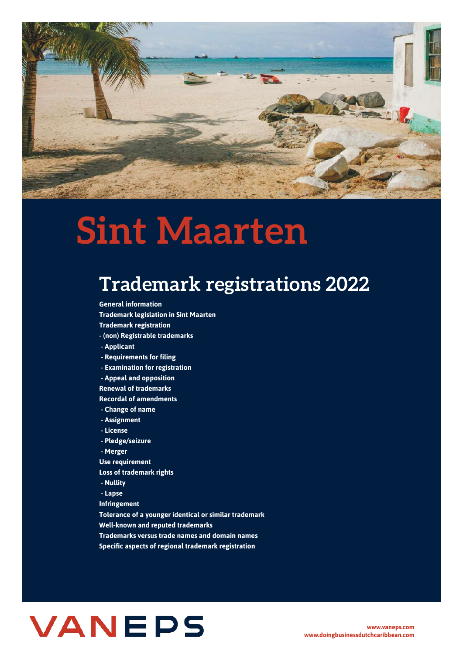

# **Sint Maarten**

# **Trademark registrations 2022**

**General information Trademark legislation in Sint Maarten Trademark registration - (non) Registrable trademarks - Applicant - Requirements for filing - Examination for registration - Appeal and opposition Renewal of trademarks Recordal of amendments - Change of name - Assignment - License - Pledge/seizure - Merger Use requirement Loss of trademark rights - Nullity - Lapse Infringement Tolerance of a younger identical or similar trademark Well-known and reputed trademarks Trademarks versus trade names and domain names**

**Specific aspects of regional trademark registration**

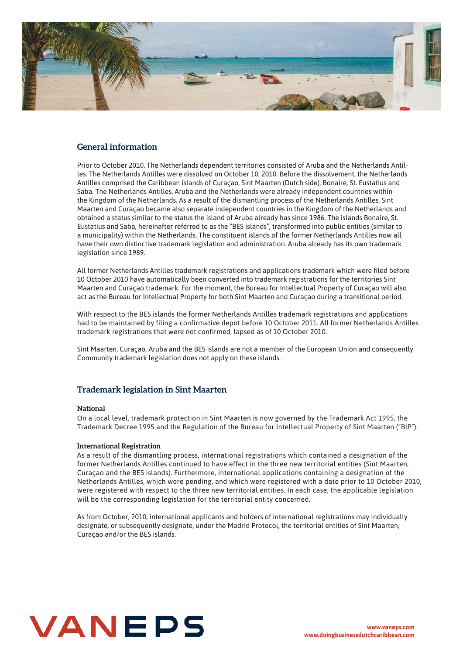

## **General information**

Prior to October 2010, The Netherlands dependent territories consisted of Aruba and the Netherlands Antilles. The Netherlands Antilles were dissolved on October 10, 2010. Before the dissolvement, the Netherlands Antilles comprised the Caribbean islands of Curaçao, Sint Maarten (Dutch side), Bonaire, St. Eustatius and Saba. The Netherlands Antilles, Aruba and the Netherlands were already independent countries within the Kingdom of the Netherlands. As a result of the dismantling process of the Netherlands Antilles, Sint Maarten and Curaçao became also separate independent countries in the Kingdom of the Netherlands and obtained a status similar to the status the island of Aruba already has since 1986. The islands Bonaire, St. Eustatius and Saba, hereinafter referred to as the "BES islands", transformed into public entities (similar to a municipality) within the Netherlands. The constituent islands of the former Netherlands Antilles now all have their own distinctive trademark legislation and administration. Aruba already has its own trademark legislation since 1989.

All former Netherlands Antilles trademark registrations and applications trademark which were filed before 10 October 2010 have automatically been converted into trademark registrations for the territories Sint Maarten and Curaçao trademark. For the moment, the Bureau for Intellectual Property of Curaçao will also act as the Bureau for Intellectual Property for both Sint Maarten and Curaçao during a transitional period.

With respect to the BES islands the former Netherlands Antilles trademark registrations and applications had to be maintained by filing a confirmative depot before 10 October 2011. All former Netherlands Antilles trademark registrations that were not confirmed, lapsed as of 10 October 2010.

Sint Maarten, Curaçao, Aruba and the BES islands are not a member of the European Union and consequently Community trademark legislation does not apply on these islands.

# **Trademark legislation in Sint Maarten**

#### **National**

On a local level, trademark protection in Sint Maarten is now governed by the Trademark Act 1995, the Trademark Decree 1995 and the Regulation of the Bureau for Intellectual Property of Sint Maarten ("BIP").

#### **International Registration**

As a result of the dismantling process, international registrations which contained a designation of the former Netherlands Antilles continued to have effect in the three new territorial entities (Sint Maarten, Curaçao and the BES islands). Furthermore, international applications containing a designation of the Netherlands Antilles, which were pending, and which were registered with a date prior to 10 October 2010, were registered with respect to the three new territorial entities. In each case, the applicable legislation will be the corresponding legislation for the territorial entity concerned.

As from October, 2010, international applicants and holders of international registrations may individually designate, or subsequently designate, under the Madrid Protocol, the territorial entities of Sint Maarten, Curaçao and/or the BES islands.

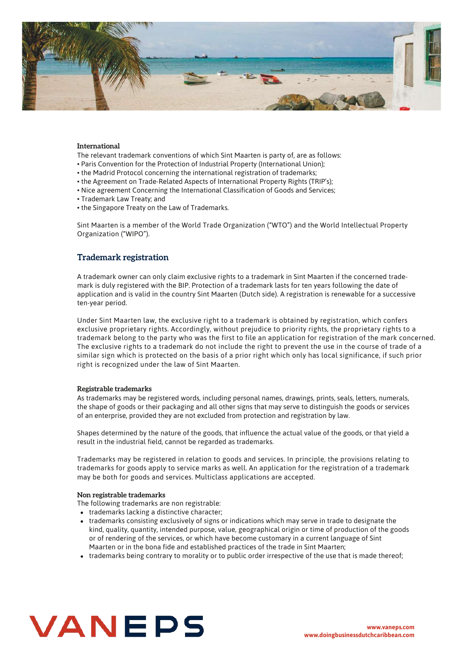

#### **International**

The relevant trademark conventions of which Sint Maarten is party of, are as follows:

- Paris Convention for the Protection of Industrial Property (International Union);
- the Madrid Protocol concerning the international registration of trademarks;
- the Agreement on Trade-Related Aspects of International Property Rights (TRIP's);
- Nice agreement Concerning the International Classification of Goods and Services;
- Trademark Law Treaty; and
- the Singapore Treaty on the Law of Trademarks.

Sint Maarten is a member of the World Trade Organization ("WTO") and the World Intellectual Property Organization ("WIPO").

# **Trademark registration**

A trademark owner can only claim exclusive rights to a trademark in Sint Maarten if the concerned trademark is duly registered with the BIP. Protection of a trademark lasts for ten years following the date of application and is valid in the country Sint Maarten (Dutch side). A registration is renewable for a successive ten-year period.

Under Sint Maarten law, the exclusive right to a trademark is obtained by registration, which confers exclusive proprietary rights. Accordingly, without prejudice to priority rights, the proprietary rights to a trademark belong to the party who was the first to file an application for registration of the mark concerned. The exclusive rights to a trademark do not include the right to prevent the use in the course of trade of a similar sign which is protected on the basis of a prior right which only has local significance, if such prior right is recognized under the law of Sint Maarten.

#### **Registrable trademarks**

As trademarks may be registered words, including personal names, drawings, prints, seals, letters, numerals, the shape of goods or their packaging and all other signs that may serve to distinguish the goods or services of an enterprise, provided they are not excluded from protection and registration by law.

Shapes determined by the nature of the goods, that influence the actual value of the goods, or that yield a result in the industrial field, cannot be regarded as trademarks.

Trademarks may be registered in relation to goods and services. In principle, the provisions relating to trademarks for goods apply to service marks as well. An application for the registration of a trademark may be both for goods and services. Multiclass applications are accepted.

#### **Non registrable trademarks**

The following trademarks are non registrable:

- trademarks lacking a distinctive character;
- trademarks consisting exclusively of signs or indications which may serve in trade to designate the kind, quality, quantity, intended purpose, value, geographical origin or time of production of the goods or of rendering of the services, or which have become customary in a current language of Sint Maarten or in the bona fide and established practices of the trade in Sint Maarten;
- trademarks being contrary to morality or to public order irrespective of the use that is made thereof;

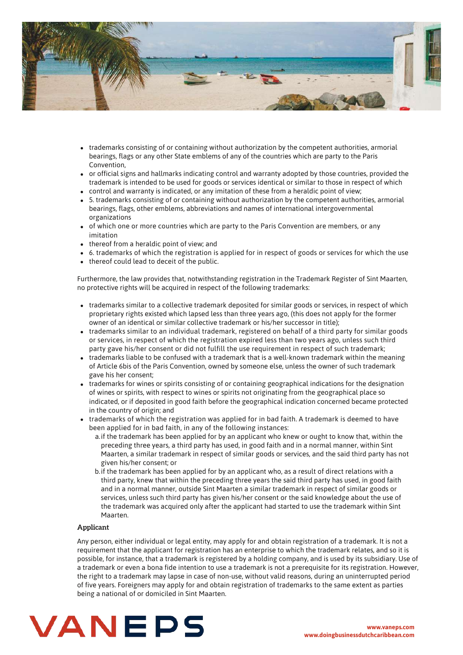

- trademarks consisting of or containing without authorization by the competent authorities, armorial bearings, flags or any other State emblems of any of the countries which are party to the Paris Convention,
- or official signs and hallmarks indicating control and warranty adopted by those countries, provided the trademark is intended to be used for goods or services identical or similar to those in respect of which
- control and warranty is indicated, or any imitation of these from a heraldic point of view;
- 5. trademarks consisting of or containing without authorization by the competent authorities, armorial bearings, flags, other emblems, abbreviations and names of international intergovernmental organizations
- of which one or more countries which are party to the Paris Convention are members, or any imitation
- thereof from a heraldic point of view; and
- 6. trademarks of which the registration is applied for in respect of goods or services for which the use
- thereof could lead to deceit of the public.

Furthermore, the law provides that, notwithstanding registration in the Trademark Register of Sint Maarten, no protective rights will be acquired in respect of the following trademarks:

- trademarks similar to a collective trademark deposited for similar goods or services, in respect of which proprietary rights existed which lapsed less than three years ago, (this does not apply for the former owner of an identical or similar collective trademark or his/her successor in title);
- trademarks similar to an individual trademark, registered on behalf of a third party for similar goods or services, in respect of which the registration expired less than two years ago, unless such third party gave his/her consent or did not fulfill the use requirement in respect of such trademark;
- trademarks liable to be confused with a trademark that is a well-known trademark within the meaning of Article 6bis of the Paris Convention, owned by someone else, unless the owner of such trademark gave his her consent;
- trademarks for wines or spirits consisting of or containing geographical indications for the designation of wines or spirits, with respect to wines or spirits not originating from the geographical place so indicated, or if deposited in good faith before the geographical indication concerned became protected in the country of origin; and
- trademarks of which the registration was applied for in bad faith. A trademark is deemed to have been applied for in bad faith, in any of the following instances:
	- a. if the trademark has been applied for by an applicant who knew or ought to know that, within the preceding three years, a third party has used, in good faith and in a normal manner, within Sint Maarten, a similar trademark in respect of similar goods or services, and the said third party has not given his/her consent; or
	- b. if the trademark has been applied for by an applicant who, as a result of direct relations with a third party, knew that within the preceding three years the said third party has used, in good faith and in a normal manner, outside Sint Maarten a similar trademark in respect of similar goods or services, unless such third party has given his/her consent or the said knowledge about the use of the trademark was acquired only after the applicant had started to use the trademark within Sint Maarten.

#### **Applicant**

Any person, either individual or legal entity, may apply for and obtain registration of a trademark. It is not a requirement that the applicant for registration has an enterprise to which the trademark relates, and so it is possible, for instance, that a trademark is registered by a holding company, and is used by its subsidiary. Use of a trademark or even a bona fide intention to use a trademark is not a prerequisite for its registration. However, the right to a trademark may lapse in case of non-use, without valid reasons, during an uninterrupted period of five years. Foreigners may apply for and obtain registration of trademarks to the same extent as parties being a national of or domiciled in Sint Maarten.

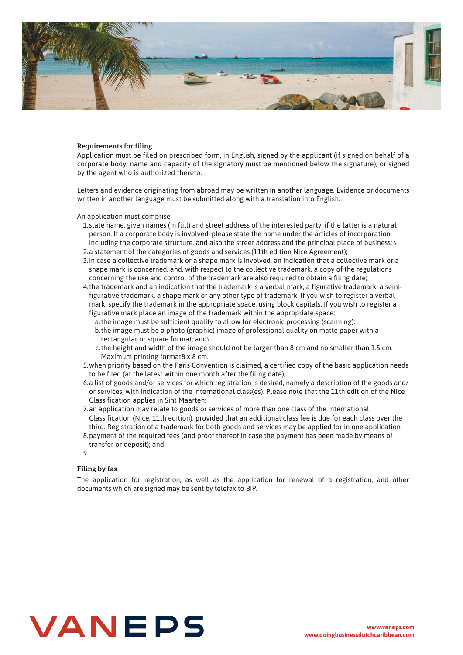

#### **Requirements for filing**

Application must be filed on prescribed form, in English, signed by the applicant (if signed on behalf of a corporate body, name and capacity of the signatory must be mentioned below the signature), or signed by the agent who is authorized thereto.

Letters and evidence originating from abroad may be written in another language. Evidence or documents written in another language must be submitted along with a translation into English.

An application must comprise:

- 1.state name, given names (in full) and street address of the interested party, if the latter is a natural person. If a corporate body is involved, please state the name under the articles of incorporation, including the corporate structure, and also the street address and the principal place of business; \
- 2.a statement of the categories of goods and services (11th edition Nice Agreement);
- 3. in case a collective trademark or a shape mark is involved, an indication that a collective mark or a shape mark is concerned, and, with respect to the collective trademark, a copy of the regulations concerning the use and control of the trademark are also required to obtain a filing date;
- 4. the trademark and an indication that the trademark is a verbal mark, a figurative trademark, a semifigurative trademark, a shape mark or any other type of trademark. If you wish to register a verbal mark, specify the trademark in the appropriate space, using block capitals. If you wish to register a figurative mark place an image of the trademark within the appropriate space:
	- the image must be sufficient quality to allow for electronic processing (scanning); a. b.the image must be a photo (graphic) image of professional quality on matte paper with a rectangular or square format; and\
	- the height and width of the image should not be larger than 8 cm and no smaller than 1.5 cm. c. Maximum printing format8 x 8 cm.
- when priority based on the Paris Convention is claimed, a certified copy of the basic application needs 5. to be filed (at the latest within one month after the filing date);
- 6.a list of goods and/or services for which registration is desired, namely a description of the goods and/ or services, with indication of the international class(es). Please note that the 11th edition of the Nice Classification applies in Sint Maarten;
- 7.an application may relate to goods or services of more than one class of the International Classification (Nice, 11th edition), provided that an additional class fee is due for each class over the third. Registration of a trademark for both goods and services may be applied for in one application;
- 8.payment of the required fees (and proof thereof in case the payment has been made by means of transfer or deposit); and
- 9.

#### **Filing by fax**

The application for registration, as well as the application for renewal of a registration, and other documents which are signed may be sent by telefax to BIP.

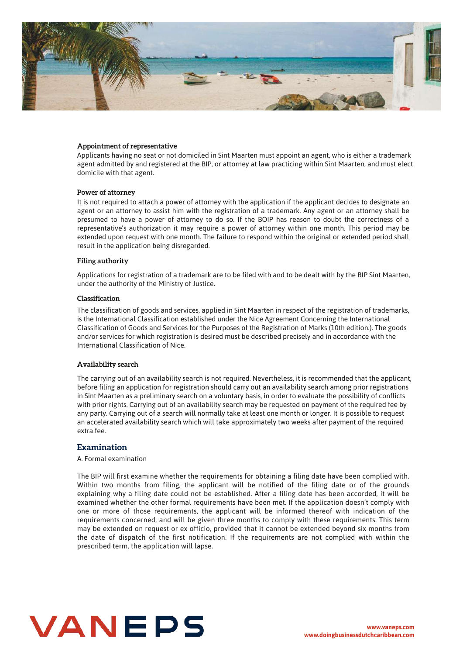

#### **Appointment of representative**

Applicants having no seat or not domiciled in Sint Maarten must appoint an agent, who is either a trademark agent admitted by and registered at the BIP, or attorney at law practicing within Sint Maarten, and must elect domicile with that agent.

#### **Power of attorney**

It is not required to attach a power of attorney with the application if the applicant decides to designate an agent or an attorney to assist him with the registration of a trademark. Any agent or an attorney shall be presumed to have a power of attorney to do so. If the BOIP has reason to doubt the correctness of a representative's authorization it may require a power of attorney within one month. This period may be extended upon request with one month. The failure to respond within the original or extended period shall result in the application being disregarded.

#### **Filing authority**

Applications for registration of a trademark are to be filed with and to be dealt with by the BIP Sint Maarten, under the authority of the Ministry of Justice.

#### **Classification**

The classification of goods and services, applied in Sint Maarten in respect of the registration of trademarks, is the International Classification established under the Nice Agreement Concerning the International Classification of Goods and Services for the Purposes of the Registration of Marks (10th edition.). The goods and/or services for which registration is desired must be described precisely and in accordance with the International Classification of Nice.

#### **Availability search**

The carrying out of an availability search is not required. Nevertheless, it is recommended that the applicant, before filing an application for registration should carry out an availability search among prior registrations in Sint Maarten as a preliminary search on a voluntary basis, in order to evaluate the possibility of conflicts with prior rights. Carrying out of an availability search may be requested on payment of the required fee by any party. Carrying out of a search will normally take at least one month or longer. It is possible to request an accelerated availability search which will take approximately two weeks after payment of the required extra fee.

#### **Examination**

A. Formal examination

The BIP will first examine whether the requirements for obtaining a filing date have been complied with. Within two months from filing, the applicant will be notified of the filing date or of the grounds explaining why a filing date could not be established. After a filing date has been accorded, it will be examined whether the other formal requirements have been met. If the application doesn't comply with one or more of those requirements, the applicant will be informed thereof with indication of the requirements concerned, and will be given three months to comply with these requirements. This term may be extended on request or ex officio, provided that it cannot be extended beyond six months from the date of dispatch of the first notification. If the requirements are not complied with within the prescribed term, the application will lapse.

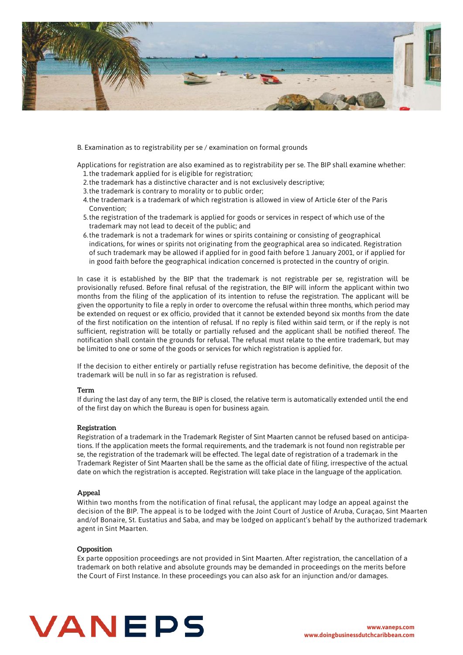

B. Examination as to registrability per se / examination on formal grounds

1. the trademark applied for is eligible for registration; Applications for registration are also examined as to registrability per se. The BIP shall examine whether:

- 2. the trademark has a distinctive character and is not exclusively descriptive;
- 3. the trademark is contrary to morality or to public order;
- 4. the trademark is a trademark of which registration is allowed in view of Article 6ter of the Paris Convention;
- 5. the registration of the trademark is applied for goods or services in respect of which use of the trademark may not lead to deceit of the public; and
- 6.the trademark is not a trademark for wines or spirits containing or consisting of geographical indications, for wines or spirits not originating from the geographical area so indicated. Registration of such trademark may be allowed if applied for in good faith before 1 January 2001, or if applied for in good faith before the geographical indication concerned is protected in the country of origin.

In case it is established by the BIP that the trademark is not registrable per se, registration will be provisionally refused. Before final refusal of the registration, the BIP will inform the applicant within two months from the filing of the application of its intention to refuse the registration. The applicant will be given the opportunity to file a reply in order to overcome the refusal within three months, which period may be extended on request or ex officio, provided that it cannot be extended beyond six months from the date of the first notification on the intention of refusal. If no reply is filed within said term, or if the reply is not sufficient, registration will be totally or partially refused and the applicant shall be notified thereof. The notification shall contain the grounds for refusal. The refusal must relate to the entire trademark, but may be limited to one or some of the goods or services for which registration is applied for.

If the decision to either entirely or partially refuse registration has become definitive, the deposit of the trademark will be null in so far as registration is refused.

#### **Term**

If during the last day of any term, the BIP is closed, the relative term is automatically extended until the end of the first day on which the Bureau is open for business again.

#### **Registration**

Registration of a trademark in the Trademark Register of Sint Maarten cannot be refused based on anticipations. If the application meets the formal requirements, and the trademark is not found non registrable per se, the registration of the trademark will be effected. The legal date of registration of a trademark in the Trademark Register of Sint Maarten shall be the same as the official date of filing, irrespective of the actual date on which the registration is accepted. Registration will take place in the language of the application.

#### **Appeal**

Within two months from the notification of final refusal, the applicant may lodge an appeal against the decision of the BIP. The appeal is to be lodged with the Joint Court of Justice of Aruba, Curaçao, Sint Maarten and/of Bonaire, St. Eustatius and Saba, and may be lodged on applicant's behalf by the authorized trademark agent in Sint Maarten.

#### **Opposition**

Ex parte opposition proceedings are not provided in Sint Maarten. After registration, the cancellation of a trademark on both relative and absolute grounds may be demanded in proceedings on the merits before the Court of First Instance. In these proceedings you can also ask for an injunction and/or damages.

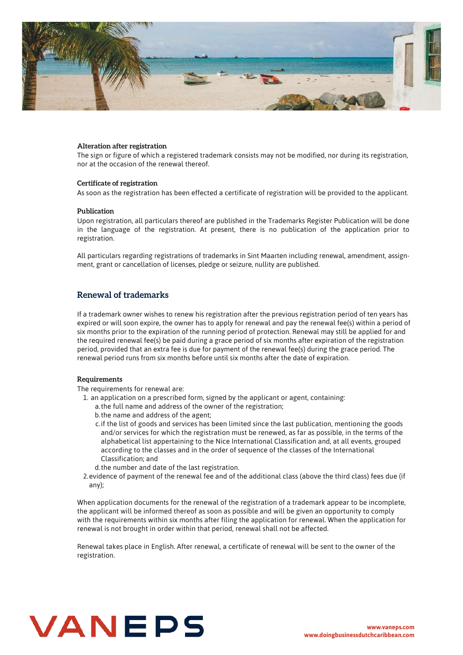

#### **Alteration after registration**

The sign or figure of which a registered trademark consists may not be modified, nor during its registration, nor at the occasion of the renewal thereof.

#### **Certificate of registration**

As soon as the registration has been effected a certificate of registration will be provided to the applicant.

#### **Publication**

Upon registration, all particulars thereof are published in the Trademarks Register Publication will be done in the language of the registration. At present, there is no publication of the application prior to registration.

All particulars regarding registrations of trademarks in Sint Maarten including renewal, amendment, assignment, grant or cancellation of licenses, pledge or seizure, nullity are published.

### **Renewal of trademarks**

If a trademark owner wishes to renew his registration after the previous registration period of ten years has expired or will soon expire, the owner has to apply for renewal and pay the renewal fee(s) within a period of six months prior to the expiration of the running period of protection. Renewal may still be applied for and the required renewal fee(s) be paid during a grace period of six months after expiration of the registration period, provided that an extra fee is due for payment of the renewal fee(s) during the grace period. The renewal period runs from six months before until six months after the date of expiration.

#### **Requirements**

The requirements for renewal are:

- 1. an application on a prescribed form, signed by the applicant or agent, containing:
	- a. the full name and address of the owner of the registration;
	- b. the name and address of the agent;
	- c. if the list of goods and services has been limited since the last publication, mentioning the goods and/or services for which the registration must be renewed, as far as possible, in the terms of the alphabetical list appertaining to the Nice International Classification and, at all events, grouped according to the classes and in the order of sequence of the classes of the International Classification; and
	- d. the number and date of the last registration.
- 2.evidence of payment of the renewal fee and of the additional class (above the third class) fees due (if any);

When application documents for the renewal of the registration of a trademark appear to be incomplete, the applicant will be informed thereof as soon as possible and will be given an opportunity to comply with the requirements within six months after filing the application for renewal. When the application for renewal is not brought in order within that period, renewal shall not be affected.

Renewal takes place in English. After renewal, a certificate of renewal will be sent to the owner of the registration.

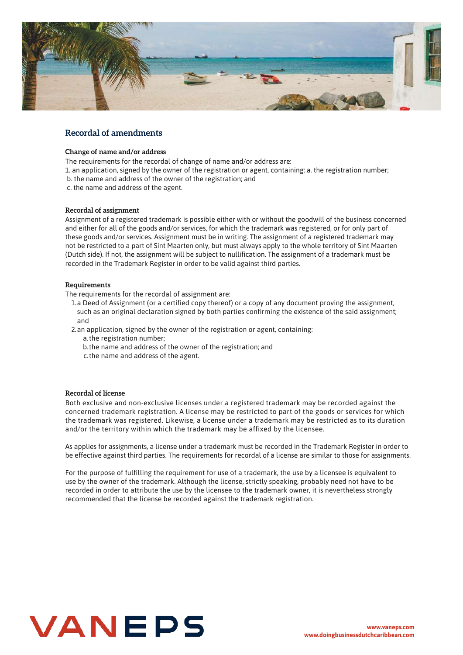

# **Recordal of amendments**

#### **Change of name and/or address**

- The requirements for the recordal of change of name and/or address are:
- 1. an application, signed by the owner of the registration or agent, containing: a. the registration number;
- b. the name and address of the owner of the registration; and
- c. the name and address of the agent.

#### **Recordal of assignment**

Assignment of a registered trademark is possible either with or without the goodwill of the business concerned and either for all of the goods and/or services, for which the trademark was registered, or for only part of these goods and/or services. Assignment must be in writing. The assignment of a registered trademark may not be restricted to a part of Sint Maarten only, but must always apply to the whole territory of Sint Maarten (Dutch side). If not, the assignment will be subject to nullification. The assignment of a trademark must be recorded in the Trademark Register in order to be valid against third parties.

#### **Requirements**

The requirements for the recordal of assignment are:

- 1.a Deed of Assignment (or a certified copy thereof) or a copy of any document proving the assignment, such as an original declaration signed by both parties confirming the existence of the said assignment; and
- 2.an application, signed by the owner of the registration or agent, containing:
	- a.the registration number;
	- b. the name and address of the owner of the registration; and
	- c. the name and address of the agent.

#### **Recordal of license**

Both exclusive and non-exclusive licenses under a registered trademark may be recorded against the concerned trademark registration. A license may be restricted to part of the goods or services for which the trademark was registered. Likewise, a license under a trademark may be restricted as to its duration and/or the territory within which the trademark may be affixed by the licensee.

As applies for assignments, a license under a trademark must be recorded in the Trademark Register in order to be effective against third parties. The requirements for recordal of a license are similar to those for assignments.

For the purpose of fulfilling the requirement for use of a trademark, the use by a licensee is equivalent to use by the owner of the trademark. Although the license, strictly speaking, probably need not have to be recorded in order to attribute the use by the licensee to the trademark owner, it is nevertheless strongly recommended that the license be recorded against the trademark registration.

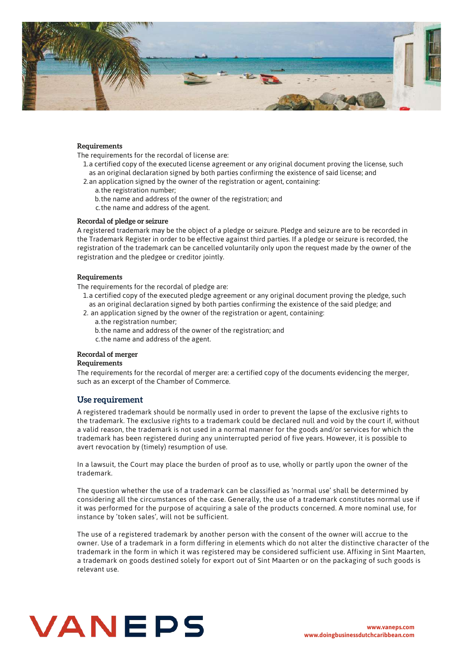

#### **Requirements**

The requirements for the recordal of license are:

1.a certified copy of the executed license agreement or any original document proving the license, such as an original declaration signed by both parties confirming the existence of said license; and

- 2.an application signed by the owner of the registration or agent, containing:
	- a. the registration number;
	- b. the name and address of the owner of the registration; and
	- c. the name and address of the agent.

#### **Recordal of pledge or seizure**

A registered trademark may be the object of a pledge or seizure. Pledge and seizure are to be recorded in the Trademark Register in order to be effective against third parties. If a pledge or seizure is recorded, the registration of the trademark can be cancelled voluntarily only upon the request made by the owner of the registration and the pledgee or creditor jointly.

#### **Requirements**

The requirements for the recordal of pledge are:

- 1.a certified copy of the executed pledge agreement or any original document proving the pledge, such as an original declaration signed by both parties confirming the existence of the said pledge; and
- 2. an application signed by the owner of the registration or agent, containing:
	- a.the registration number;
	- b. the name and address of the owner of the registration; and
	- c. the name and address of the agent.

#### **Recordal of merger**

#### **Requirements**

The requirements for the recordal of merger are: a certified copy of the documents evidencing the merger, such as an excerpt of the Chamber of Commerce.

#### **Use requirement**

A registered trademark should be normally used in order to prevent the lapse of the exclusive rights to the trademark. The exclusive rights to a trademark could be declared null and void by the court if, without a valid reason, the trademark is not used in a normal manner for the goods and/or services for which the trademark has been registered during any uninterrupted period of five years. However, it is possible to avert revocation by (timely) resumption of use.

In a lawsuit, the Court may place the burden of proof as to use, wholly or partly upon the owner of the trademark.

The question whether the use of a trademark can be classified as 'normal use' shall be determined by considering all the circumstances of the case. Generally, the use of a trademark constitutes normal use if it was performed for the purpose of acquiring a sale of the products concerned. A more nominal use, for instance by 'token sales', will not be sufficient.

The use of a registered trademark by another person with the consent of the owner will accrue to the owner. Use of a trademark in a form differing in elements which do not alter the distinctive character of the trademark in the form in which it was registered may be considered sufficient use. Affixing in Sint Maarten, a trademark on goods destined solely for export out of Sint Maarten or on the packaging of such goods is relevant use.

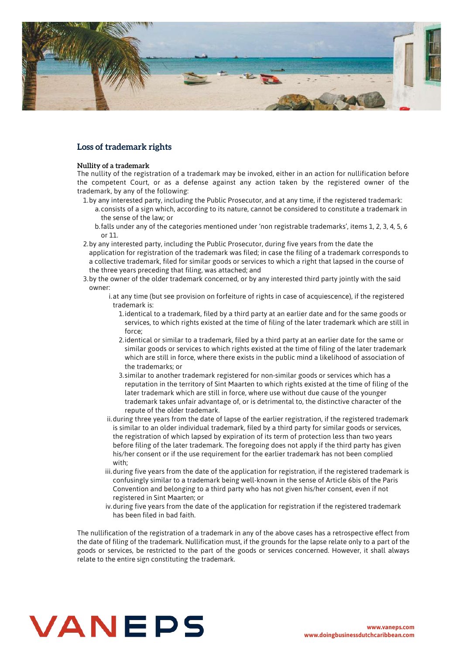

# **Loss of trademark rights**

#### **Nullity of a trademark**

The nullity of the registration of a trademark may be invoked, either in an action for nullification before the competent Court, or as a defense against any action taken by the registered owner of the trademark, by any of the following:

- $1.$ by any interested party, including the Public Prosecutor, and at any time, if the registered trademark:
	- consists of a sign which, according to its nature, cannot be considered to constitute a trademark in a. the sense of the law; or
	- falls under any of the categories mentioned under 'non registrable trademarks', items 1, 2, 3, 4, 5, 6 b. or 11.
- 2.by any interested party, including the Public Prosecutor, during five years from the date the application for registration of the trademark was filed; in case the filing of a trademark corresponds to a collective trademark, filed for similar goods or services to which a right that lapsed in the course of the three years preceding that filing, was attached; and
- 3.by the owner of the older trademark concerned, or by any interested third party jointly with the said owner:
	- i.at any time (but see provision on forfeiture of rights in case of acquiescence), if the registered trademark is:
		- 1. identical to a trademark, filed by a third party at an earlier date and for the same goods or services, to which rights existed at the time of filing of the later trademark which are still in force;
		- 2. identical or similar to a trademark, filed by a third party at an earlier date for the same or similar goods or services to which rights existed at the time of filing of the later trademark which are still in force, where there exists in the public mind a likelihood of association of the trademarks; or
		- similar to another trademark registered for non-similar goods or services which has a 3. reputation in the territory of Sint Maarten to which rights existed at the time of filing of the later trademark which are still in force, where use without due cause of the younger trademark takes unfair advantage of, or is detrimental to, the distinctive character of the repute of the older trademark.
	- ii.during three years from the date of lapse of the earlier registration, if the registered trademark is similar to an older individual trademark, filed by a third party for similar goods or services, the registration of which lapsed by expiration of its term of protection less than two years before filing of the later trademark. The foregoing does not apply if the third party has given his/her consent or if the use requirement for the earlier trademark has not been complied with;
	- iii.during five years from the date of the application for registration, if the registered trademark is confusingly similar to a trademark being well-known in the sense of Article 6bis of the Paris Convention and belonging to a third party who has not given his/her consent, even if not registered in Sint Maarten; or
	- iv. during five years from the date of the application for registration if the registered trademark has been filed in bad faith.

The nullification of the registration of a trademark in any of the above cases has a retrospective effect from the date of filing of the trademark. Nullification must, if the grounds for the lapse relate only to a part of the goods or services, be restricted to the part of the goods or services concerned. However, it shall always relate to the entire sign constituting the trademark.

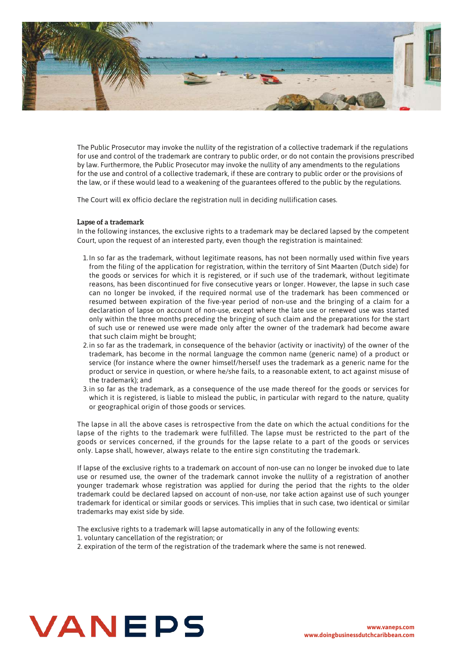

The Public Prosecutor may invoke the nullity of the registration of a collective trademark if the regulations for use and control of the trademark are contrary to public order, or do not contain the provisions prescribed by law. Furthermore, the Public Prosecutor may invoke the nullity of any amendments to the regulations for the use and control of a collective trademark, if these are contrary to public order or the provisions of the law, or if these would lead to a weakening of the guarantees offered to the public by the regulations.

The Court will ex officio declare the registration null in deciding nullification cases.

#### **Lapse of a trademark**

In the following instances, the exclusive rights to a trademark may be declared lapsed by the competent Court, upon the request of an interested party, even though the registration is maintained:

- $1.$ In so far as the trademark, without legitimate reasons, has not been normally used within five years from the filing of the application for registration, within the territory of Sint Maarten (Dutch side) for the goods or services for which it is registered, or if such use of the trademark, without legitimate reasons, has been discontinued for five consecutive years or longer. However, the lapse in such case can no longer be invoked, if the required normal use of the trademark has been commenced or resumed between expiration of the five-year period of non-use and the bringing of a claim for a declaration of lapse on account of non-use, except where the late use or renewed use was started only within the three months preceding the bringing of such claim and the preparations for the start of such use or renewed use were made only after the owner of the trademark had become aware that such claim might be brought;
- 2.in so far as the trademark, in consequence of the behavior (activity or inactivity) of the owner of the trademark, has become in the normal language the common name (generic name) of a product or service (for instance where the owner himself/herself uses the trademark as a generic name for the product or service in question, or where he/she fails, to a reasonable extent, to act against misuse of the trademark); and
- 3. in so far as the trademark, as a consequence of the use made thereof for the goods or services for which it is registered, is liable to mislead the public, in particular with regard to the nature, quality or geographical origin of those goods or services.

The lapse in all the above cases is retrospective from the date on which the actual conditions for the lapse of the rights to the trademark were fulfilled. The lapse must be restricted to the part of the goods or services concerned, if the grounds for the lapse relate to a part of the goods or services only. Lapse shall, however, always relate to the entire sign constituting the trademark.

If lapse of the exclusive rights to a trademark on account of non-use can no longer be invoked due to late use or resumed use, the owner of the trademark cannot invoke the nullity of a registration of another younger trademark whose registration was applied for during the period that the rights to the older trademark could be declared lapsed on account of non-use, nor take action against use of such younger trademark for identical or similar goods or services. This implies that in such case, two identical or similar trademarks may exist side by side.

The exclusive rights to a trademark will lapse automatically in any of the following events: 1. voluntary cancellation of the registration; or

2. expiration of the term of the registration of the trademark where the same is not renewed.

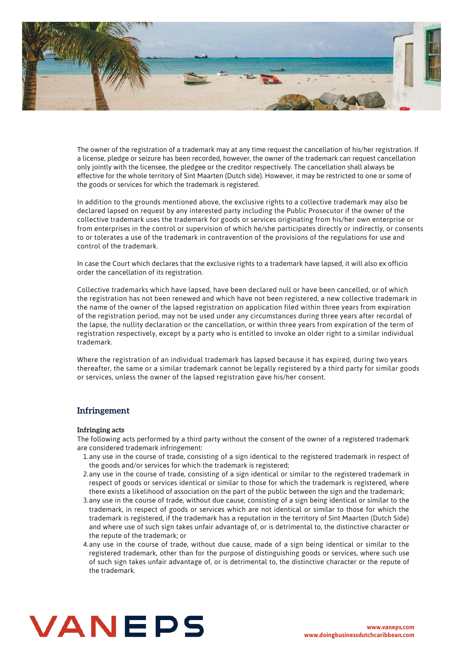

The owner of the registration of a trademark may at any time request the cancellation of his/her registration. If a license, pledge or seizure has been recorded, however, the owner of the trademark can request cancellation only jointly with the licensee, the pledgee or the creditor respectively. The cancellation shall always be effective for the whole territory of Sint Maarten (Dutch side). However, it may be restricted to one or some of the goods or services for which the trademark is registered.

In addition to the grounds mentioned above, the exclusive rights to a collective trademark may also be declared lapsed on request by any interested party including the Public Prosecutor if the owner of the collective trademark uses the trademark for goods or services originating from his/her own enterprise or from enterprises in the control or supervision of which he/she participates directly or indirectly, or consents to or tolerates a use of the trademark in contravention of the provisions of the regulations for use and control of the trademark.

In case the Court which declares that the exclusive rights to a trademark have lapsed, it will also ex officio order the cancellation of its registration.

Collective trademarks which have lapsed, have been declared null or have been cancelled, or of which the registration has not been renewed and which have not been registered, a new collective trademark in the name of the owner of the lapsed registration on application filed within three years from expiration of the registration period, may not be used under any circumstances during three years after recordal of the lapse, the nullity declaration or the cancellation, or within three years from expiration of the term of registration respectively, except by a party who is entitled to invoke an older right to a similar individual trademark.

Where the registration of an individual trademark has lapsed because it has expired, during two years thereafter, the same or a similar trademark cannot be legally registered by a third party for similar goods or services, unless the owner of the lapsed registration gave his/her consent.

# **Infringement**

#### **Infringing acts**

The following acts performed by a third party without the consent of the owner of a registered trademark are considered trademark infringement:

- 1.any use in the course of trade, consisting of a sign identical to the registered trademark in respect of the goods and/or services for which the trademark is registered;
- 2.any use in the course of trade, consisting of a sign identical or similar to the registered trademark in respect of goods or services identical or similar to those for which the trademark is registered, where there exists a likelihood of association on the part of the public between the sign and the trademark;
- 3. any use in the course of trade, without due cause, consisting of a sign being identical or similar to the trademark, in respect of goods or services which are not identical or similar to those for which the trademark is registered, if the trademark has a reputation in the territory of Sint Maarten (Dutch Side) and where use of such sign takes unfair advantage of, or is detrimental to, the distinctive character or the repute of the trademark; or
- 4.any use in the course of trade, without due cause, made of a sign being identical or similar to the registered trademark, other than for the purpose of distinguishing goods or services, where such use of such sign takes unfair advantage of, or is detrimental to, the distinctive character or the repute of the trademark.

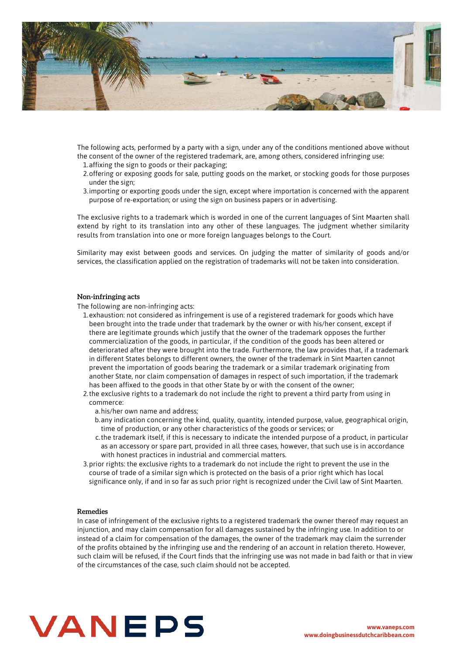

The following acts, performed by a party with a sign, under any of the conditions mentioned above without the consent of the owner of the registered trademark, are, among others, considered infringing use:

- 1. affixing the sign to goods or their packaging;
- 2.offering or exposing goods for sale, putting goods on the market, or stocking goods for those purposes under the sign;
- 3. importing or exporting goods under the sign, except where importation is concerned with the apparent purpose of re-exportation; or using the sign on business papers or in advertising.

The exclusive rights to a trademark which is worded in one of the current languages of Sint Maarten shall extend by right to its translation into any other of these languages. The judgment whether similarity results from translation into one or more foreign languages belongs to the Court.

Similarity may exist between goods and services. On judging the matter of similarity of goods and/or services, the classification applied on the registration of trademarks will not be taken into consideration.

#### **Non-infringing acts**

The following are non-infringing acts:

- 1.exhaustion: not considered as infringement is use of a registered trademark for goods which have been brought into the trade under that trademark by the owner or with his/her consent, except if there are legitimate grounds which justify that the owner of the trademark opposes the further commercialization of the goods, in particular, if the condition of the goods has been altered or deteriorated after they were brought into the trade. Furthermore, the law provides that, if a trademark in different States belongs to different owners, the owner of the trademark in Sint Maarten cannot prevent the importation of goods bearing the trademark or a similar trademark originating from another State, nor claim compensation of damages in respect of such importation, if the trademark has been affixed to the goods in that other State by or with the consent of the owner;
- 2. the exclusive rights to a trademark do not include the right to prevent a third party from using in commerce:
	- a.his/her own name and address;
	- b.any indication concerning the kind, quality, quantity, intended purpose, value, geographical origin, time of production, or any other characteristics of the goods or services; or
	- c. the trademark itself, if this is necessary to indicate the intended purpose of a product, in particular as an accessory or spare part, provided in all three cases, however, that such use is in accordance with honest practices in industrial and commercial matters.
- 3. prior rights: the exclusive rights to a trademark do not include the right to prevent the use in the course of trade of a similar sign which is protected on the basis of a prior right which has local significance only, if and in so far as such prior right is recognized under the Civil law of Sint Maarten.

#### **Remedies**

In case of infringement of the exclusive rights to a registered trademark the owner thereof may request an injunction, and may claim compensation for all damages sustained by the infringing use. In addition to or instead of a claim for compensation of the damages, the owner of the trademark may claim the surrender of the profits obtained by the infringing use and the rendering of an account in relation thereto. However, such claim will be refused, if the Court finds that the infringing use was not made in bad faith or that in view of the circumstances of the case, such claim should not be accepted.

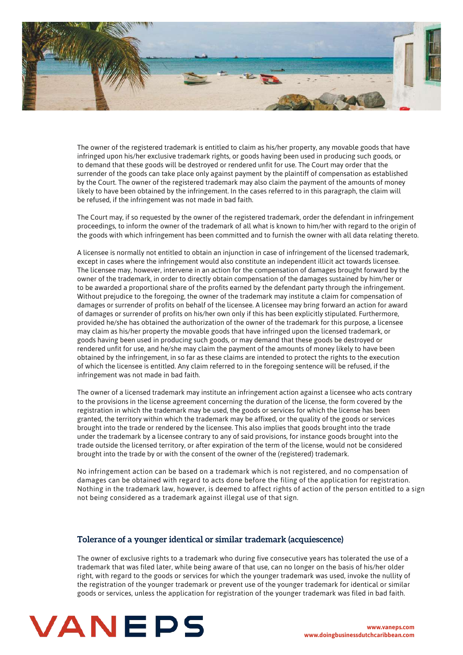

The owner of the registered trademark is entitled to claim as his/her property, any movable goods that have infringed upon his/her exclusive trademark rights, or goods having been used in producing such goods, or to demand that these goods will be destroyed or rendered unfit for use. The Court may order that the surrender of the goods can take place only against payment by the plaintiff of compensation as established by the Court. The owner of the registered trademark may also claim the payment of the amounts of money likely to have been obtained by the infringement. In the cases referred to in this paragraph, the claim will be refused, if the infringement was not made in bad faith.

The Court may, if so requested by the owner of the registered trademark, order the defendant in infringement proceedings, to inform the owner of the trademark of all what is known to him/her with regard to the origin of the goods with which infringement has been committed and to furnish the owner with all data relating thereto.

A licensee is normally not entitled to obtain an injunction in case of infringement of the licensed trademark, except in cases where the infringement would also constitute an independent illicit act towards licensee. The licensee may, however, intervene in an action for the compensation of damages brought forward by the owner of the trademark, in order to directly obtain compensation of the damages sustained by him/her or to be awarded a proportional share of the profits earned by the defendant party through the infringement. Without prejudice to the foregoing, the owner of the trademark may institute a claim for compensation of damages or surrender of profits on behalf of the licensee. A licensee may bring forward an action for award of damages or surrender of profits on his/her own only if this has been explicitly stipulated. Furthermore, provided he/she has obtained the authorization of the owner of the trademark for this purpose, a licensee may claim as his/her property the movable goods that have infringed upon the licensed trademark, or goods having been used in producing such goods, or may demand that these goods be destroyed or rendered unfit for use, and he/she may claim the payment of the amounts of money likely to have been obtained by the infringement, in so far as these claims are intended to protect the rights to the execution of which the licensee is entitled. Any claim referred to in the foregoing sentence will be refused, if the infringement was not made in bad faith.

The owner of a licensed trademark may institute an infringement action against a licensee who acts contrary to the provisions in the license agreement concerning the duration of the license, the form covered by the registration in which the trademark may be used, the goods or services for which the license has been granted, the territory within which the trademark may be affixed, or the quality of the goods or services brought into the trade or rendered by the licensee. This also implies that goods brought into the trade under the trademark by a licensee contrary to any of said provisions, for instance goods brought into the trade outside the licensed territory, or after expiration of the term of the license, would not be considered brought into the trade by or with the consent of the owner of the (registered) trademark.

No infringement action can be based on a trademark which is not registered, and no compensation of damages can be obtained with regard to acts done before the filing of the application for registration. Nothing in the trademark law, however, is deemed to affect rights of action of the person entitled to a sign not being considered as a trademark against illegal use of that sign.

#### **Tolerance of a younger identical or similar trademark (acquiescence)**

The owner of exclusive rights to a trademark who during five consecutive years has tolerated the use of a trademark that was filed later, while being aware of that use, can no longer on the basis of his/her older right, with regard to the goods or services for which the younger trademark was used, invoke the nullity of the registration of the younger trademark or prevent use of the younger trademark for identical or similar goods or services, unless the application for registration of the younger trademark was filed in bad faith.